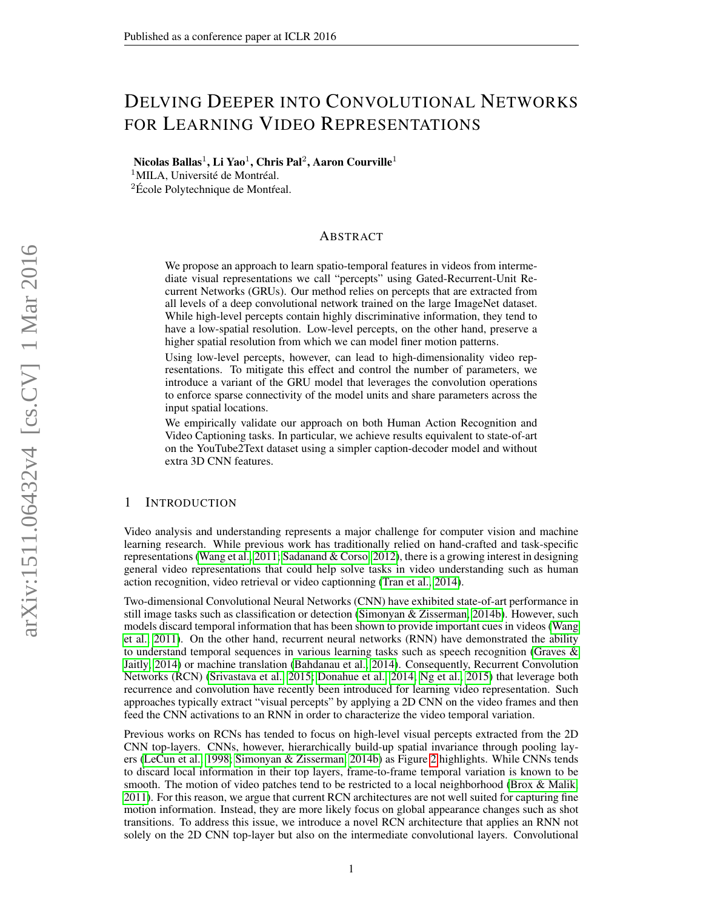# DELVING DEEPER INTO CONVOLUTIONAL NETWORKS FOR LEARNING VIDEO REPRESENTATIONS

Nicolas Ballas $^1$ , Li Yao $^1$ , Chris Pal $^2$ , Aaron Courville $^1$ 

 $1$ MILA, Université de Montréal.

 ${}^{2}$ École Polytechnique de Montréal.

## ABSTRACT

We propose an approach to learn spatio-temporal features in videos from intermediate visual representations we call "percepts" using Gated-Recurrent-Unit Recurrent Networks (GRUs). Our method relies on percepts that are extracted from all levels of a deep convolutional network trained on the large ImageNet dataset. While high-level percepts contain highly discriminative information, they tend to have a low-spatial resolution. Low-level percepts, on the other hand, preserve a higher spatial resolution from which we can model finer motion patterns.

Using low-level percepts, however, can lead to high-dimensionality video representations. To mitigate this effect and control the number of parameters, we introduce a variant of the GRU model that leverages the convolution operations to enforce sparse connectivity of the model units and share parameters across the input spatial locations.

We empirically validate our approach on both Human Action Recognition and Video Captioning tasks. In particular, we achieve results equivalent to state-of-art on the YouTube2Text dataset using a simpler caption-decoder model and without extra 3D CNN features.

## 1 INTRODUCTION

Video analysis and understanding represents a major challenge for computer vision and machine learning research. While previous work has traditionally relied on hand-crafted and task-specific representations [\(Wang et al., 2011;](#page-10-0) [Sadanand & Corso, 2012\)](#page-9-0), there is a growing interest in designing general video representations that could help solve tasks in video understanding such as human action recognition, video retrieval or video captionning [\(Tran et al., 2014\)](#page-10-1).

Two-dimensional Convolutional Neural Networks (CNN) have exhibited state-of-art performance in still image tasks such as classification or detection [\(Simonyan & Zisserman, 2014b\)](#page-9-1). However, such models discard temporal information that has been shown to provide important cues in videos [\(Wang](#page-10-0) [et al., 2011\)](#page-10-0). On the other hand, recurrent neural networks (RNN) have demonstrated the ability to understand temporal sequences in various learning tasks such as speech recognition [\(Graves &](#page-9-2) [Jaitly, 2014\)](#page-9-2) or machine translation [\(Bahdanau et al., 2014\)](#page-8-0). Consequently, Recurrent Convolution Networks (RCN) [\(Srivastava et al., 2015;](#page-9-3) [Donahue et al., 2014;](#page-9-4) [Ng et al., 2015\)](#page-9-5) that leverage both recurrence and convolution have recently been introduced for learning video representation. Such approaches typically extract "visual percepts" by applying a 2D CNN on the video frames and then feed the CNN activations to an RNN in order to characterize the video temporal variation.

Previous works on RCNs has tended to focus on high-level visual percepts extracted from the 2D CNN top-layers. CNNs, however, hierarchically build-up spatial invariance through pooling layers [\(LeCun et al., 1998;](#page-9-6) [Simonyan & Zisserman, 2014b\)](#page-9-1) as Figure [2](#page-2-0) highlights. While CNNs tends to discard local information in their top layers, frame-to-frame temporal variation is known to be smooth. The motion of video patches tend to be restricted to a local neighborhood [\(Brox & Malik,](#page-8-1) [2011\)](#page-8-1). For this reason, we argue that current RCN architectures are not well suited for capturing fine motion information. Instead, they are more likely focus on global appearance changes such as shot transitions. To address this issue, we introduce a novel RCN architecture that applies an RNN not solely on the 2D CNN top-layer but also on the intermediate convolutional layers. Convolutional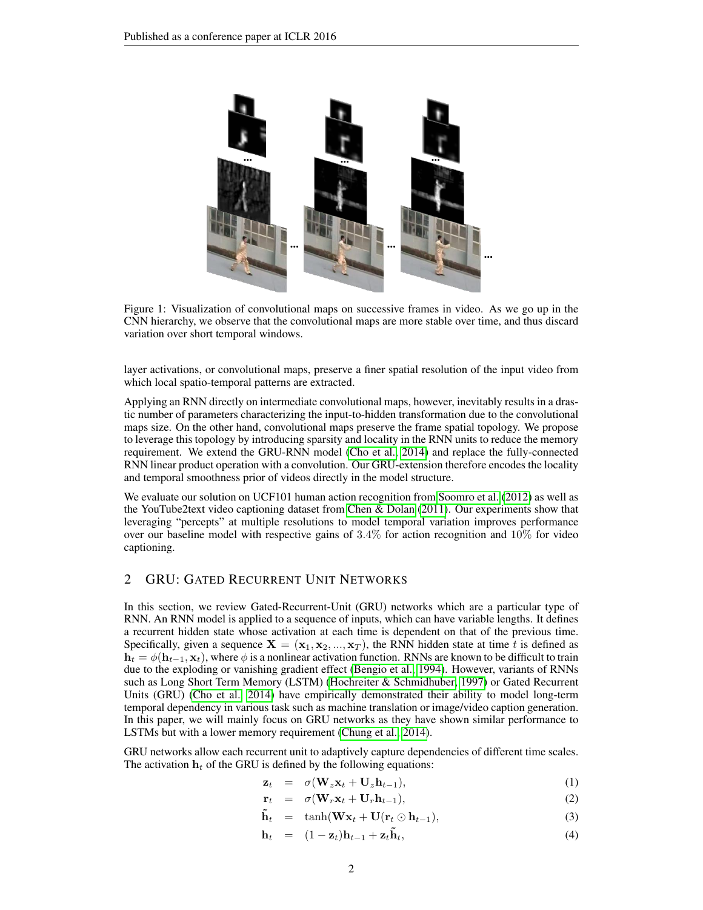

Figure 1: Visualization of convolutional maps on successive frames in video. As we go up in the CNN hierarchy, we observe that the convolutional maps are more stable over time, and thus discard variation over short temporal windows.

layer activations, or convolutional maps, preserve a finer spatial resolution of the input video from which local spatio-temporal patterns are extracted.

Applying an RNN directly on intermediate convolutional maps, however, inevitably results in a drastic number of parameters characterizing the input-to-hidden transformation due to the convolutional maps size. On the other hand, convolutional maps preserve the frame spatial topology. We propose to leverage this topology by introducing sparsity and locality in the RNN units to reduce the memory requirement. We extend the GRU-RNN model [\(Cho et al., 2014\)](#page-8-2) and replace the fully-connected RNN linear product operation with a convolution. Our GRU-extension therefore encodes the locality and temporal smoothness prior of videos directly in the model structure.

We evaluate our solution on UCF101 human action recognition from [Soomro et al.](#page-9-7) [\(2012\)](#page-9-7) as well as the YouTube2text video captioning dataset from [Chen & Dolan](#page-8-3) [\(2011\)](#page-8-3). Our experiments show that leveraging "percepts" at multiple resolutions to model temporal variation improves performance over our baseline model with respective gains of 3.4% for action recognition and 10% for video captioning.

## 2 GRU: GATED RECURRENT UNIT NETWORKS

In this section, we review Gated-Recurrent-Unit (GRU) networks which are a particular type of RNN. An RNN model is applied to a sequence of inputs, which can have variable lengths. It defines a recurrent hidden state whose activation at each time is dependent on that of the previous time. Specifically, given a sequence  $X = (x_1, x_2, ..., x_T)$ , the RNN hidden state at time t is defined as  $h_t = \phi(h_{t-1}, x_t)$ , where  $\phi$  is a nonlinear activation function. RNNs are known to be difficult to train due to the exploding or vanishing gradient effect [\(Bengio et al., 1994\)](#page-8-4). However, variants of RNNs such as Long Short Term Memory (LSTM) [\(Hochreiter & Schmidhuber, 1997\)](#page-9-8) or Gated Recurrent Units (GRU) [\(Cho et al., 2014\)](#page-8-2) have empirically demonstrated their ability to model long-term temporal dependency in various task such as machine translation or image/video caption generation. In this paper, we will mainly focus on GRU networks as they have shown similar performance to LSTMs but with a lower memory requirement [\(Chung et al., 2014\)](#page-9-9).

GRU networks allow each recurrent unit to adaptively capture dependencies of different time scales. The activation  $h_t$  of the GRU is defined by the following equations:

$$
\mathbf{z}_t = \sigma(\mathbf{W}_z \mathbf{x}_t + \mathbf{U}_z \mathbf{h}_{t-1}), \tag{1}
$$

$$
\mathbf{r}_t = \sigma(\mathbf{W}_r \mathbf{x}_t + \mathbf{U}_r \mathbf{h}_{t-1}), \tag{2}
$$

$$
\tilde{\mathbf{h}}_t = \tanh(\mathbf{W}\mathbf{x}_t + \mathbf{U}(\mathbf{r}_t \odot \mathbf{h}_{t-1}), \tag{3}
$$

$$
\mathbf{h}_t = (1 - \mathbf{z}_t) \mathbf{h}_{t-1} + \mathbf{z}_t \tilde{\mathbf{h}}_t, \tag{4}
$$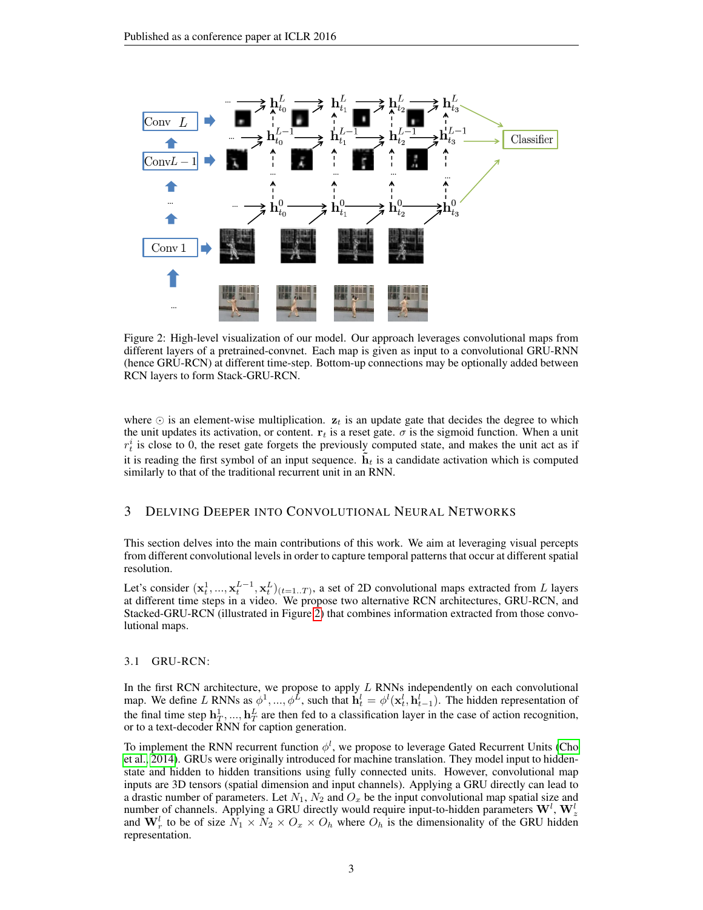<span id="page-2-0"></span>

Figure 2: High-level visualization of our model. Our approach leverages convolutional maps from different layers of a pretrained-convnet. Each map is given as input to a convolutional GRU-RNN (hence GRU-RCN) at different time-step. Bottom-up connections may be optionally added between RCN layers to form Stack-GRU-RCN.

where  $\odot$  is an element-wise multiplication.  $z_t$  is an update gate that decides the degree to which the unit updates its activation, or content.  $r_t$  is a reset gate.  $\sigma$  is the sigmoid function. When a unit  $r_t^i$  is close to 0, the reset gate forgets the previously computed state, and makes the unit act as if it is reading the first symbol of an input sequence.  $\mathbf{h}_t$  is a candidate activation which is computed similarly to that of the traditional recurrent unit in an RNN.

# 3 DELVING DEEPER INTO CONVOLUTIONAL NEURAL NETWORKS

This section delves into the main contributions of this work. We aim at leveraging visual percepts from different convolutional levels in order to capture temporal patterns that occur at different spatial resolution.

Let's consider  $(\mathbf{x}_t^1, ..., \mathbf{x}_t^{L-1}, \mathbf{x}_t^L)_{(t=1..T)}$ , a set of 2D convolutional maps extracted from L layers at different time steps in a video. We propose two alternative RCN architectures, GRU-RCN, and Stacked-GRU-RCN (illustrated in Figure [2\)](#page-2-0) that combines information extracted from those convolutional maps.

## 3.1 GRU-RCN:

In the first RCN architecture, we propose to apply  $L$  RNNs independently on each convolutional map. We define L RNNs as  $\phi^1, ..., \phi^L$ , such that  $h_t^l = \phi^l(\mathbf{x}_t^l, \mathbf{h}_{t-1}^l)$ . The hidden representation of the final time step  $\mathbf{h}_T^1, ..., \mathbf{h}_T^L$  are then fed to a classification layer in the case of action recognition, or to a text-decoder RNN for caption generation.

To implement the RNN recurrent function  $\phi^l$ , we propose to leverage Gated Recurrent Units [\(Cho](#page-8-2) [et al., 2014\)](#page-8-2). GRUs were originally introduced for machine translation. They model input to hiddenstate and hidden to hidden transitions using fully connected units. However, convolutional map inputs are 3D tensors (spatial dimension and input channels). Applying a GRU directly can lead to a drastic number of parameters. Let  $N_1$ ,  $N_2$  and  $O_x$  be the input convolutional map spatial size and number of channels. Applying a GRU directly would require input-to-hidden parameters  $\mathbf{W}^l$ ,  $\mathbf{W}^l_z$ and  $\mathbf{W}_r^l$  to be of size  $\tilde{N}_1 \times \tilde{N}_2 \times O_x \times O_h$  where  $O_h$  is the dimensionality of the GRU hidden representation.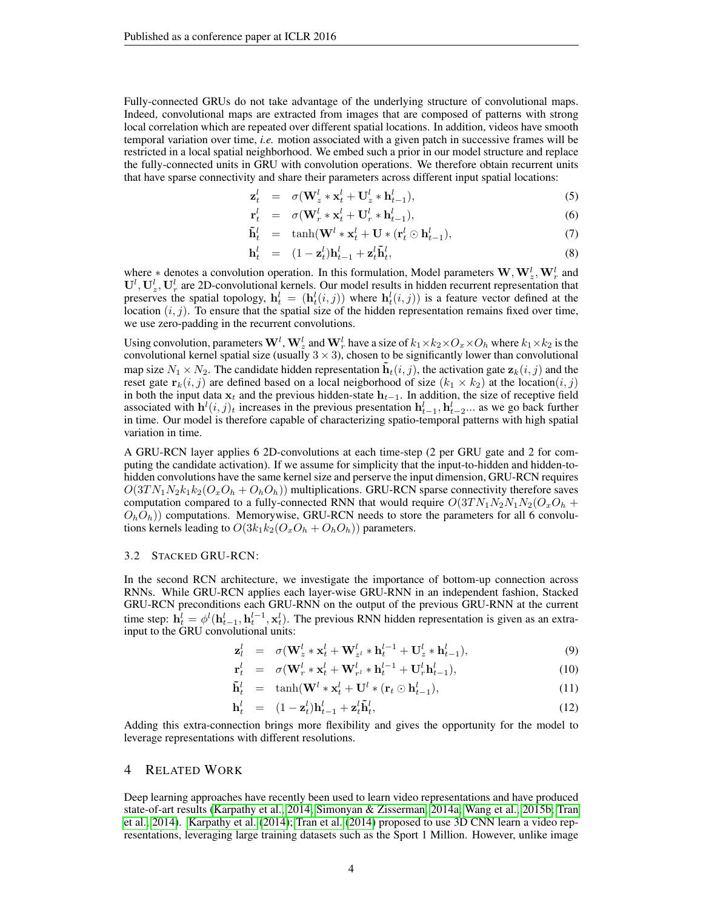Fully-connected GRUs do not take advantage of the underlying structure of convolutional maps. Indeed, convolutional maps are extracted from images that are composed of patterns with strong local correlation which are repeated over different spatial locations. In addition, videos have smooth temporal variation over time, *i.e.* motion associated with a given patch in successive frames will be restricted in a local spatial neighborhood. We embed such a prior in our model structure and replace the fully-connected units in GRU with convolution operations. We therefore obtain recurrent units that have sparse connectivity and share their parameters across different input spatial locations:

$$
\mathbf{z}_t^l = \sigma(\mathbf{W}_z^l \ast \mathbf{x}_t^l + \mathbf{U}_z^l \ast \mathbf{h}_{t-1}^l), \tag{5}
$$

$$
\mathbf{r}_t^l = \sigma(\mathbf{W}_r^l \ast \mathbf{x}_t^l + \mathbf{U}_r^l \ast \mathbf{h}_{t-1}^l), \tag{6}
$$

$$
\tilde{\mathbf{h}}_t^l = \tanh(\mathbf{W}^l * \mathbf{x}_t^l + \mathbf{U} * (\mathbf{r}_t^l \odot \mathbf{h}_{t-1}^l), \tag{7}
$$

$$
\mathbf{h}_t^l = (1 - \mathbf{z}_t^l) \mathbf{h}_{t-1}^l + \mathbf{z}_t^l \tilde{\mathbf{h}}_t^l, \tag{8}
$$

where  $*$  denotes a convolution operation. In this formulation, Model parameters  $\mathbf{W}, \mathbf{W}_z^l, \mathbf{W}_r^l$  and  $U^l$ ,  $U_z^l$ ,  $U_r^l$  are 2D-convolutional kernels. Our model results in hidden recurrent representation that preserves the spatial topology,  $h_t^l = (h_t^l(i,j))$  where  $h_t^l(i,j)$  is a feature vector defined at the location  $(i, j)$ . To ensure that the spatial size of the hidden representation remains fixed over time, we use zero-padding in the recurrent convolutions.

Using convolution, parameters  $W^l$ ,  $W_z^l$  and  $W_r^l$  have a size of  $k_1\times k_2\times O_x\times O_h$  where  $k_1\times k_2$  is the convolutional kernel spatial size (usually  $3 \times 3$ ), chosen to be significantly lower than convolutional map size  $N_1 \times N_2$ . The candidate hidden representation  $\mathbf{h}_t(i, j)$ , the activation gate  $\mathbf{z}_k(i, j)$  and the reset gate  $\mathbf{r}_k(i, j)$  are defined based on a local neigborhood of size  $(k_1 \times k_2)$  at the location $(i, j)$ in both the input data  $x_t$  and the previous hidden-state  $h_{t-1}$ . In addition, the size of receptive field associated with  $h^l(i, j)_t$  increases in the previous presentation  $h_{t-1}^l, h_{t-2}^l...$  as we go back further in time. Our model is therefore capable of characterizing spatio-temporal patterns with high spatial variation in time.

A GRU-RCN layer applies 6 2D-convolutions at each time-step (2 per GRU gate and 2 for computing the candidate activation). If we assume for simplicity that the input-to-hidden and hidden-tohidden convolutions have the same kernel size and perserve the input dimension, GRU-RCN requires  $O(3TN_1N_2k_1k_2(O_xO_h+O_hO_h))$  multiplications. GRU-RCN sparse connectivity therefore saves computation compared to a fully-connected RNN that would require  $O(3TN_1N_2N_1N_2(O_xO_h +$  $O_h O_h$ )) computations. Memorywise, GRU-RCN needs to store the parameters for all 6 convolutions kernels leading to  $O(3k_1k_2(O_xO_h+O_hO_h))$  parameters.

## 3.2 STACKED GRU-RCN:

r

In the second RCN architecture, we investigate the importance of bottom-up connection across RNNs. While GRU-RCN applies each layer-wise GRU-RNN in an independent fashion, Stacked GRU-RCN preconditions each GRU-RNN on the output of the previous GRU-RNN at the current time step:  $\mathbf{h}_t^l = \phi^l(\mathbf{h}_{t-1}^l, \mathbf{h}_t^{l-1}, \mathbf{x}_t^l)$ . The previous RNN hidden representation is given as an extrainput to the GRU convolutional units:

$$
\mathbf{z}_l^l = \sigma(\mathbf{W}_z^l \ast \mathbf{x}_t^l + \mathbf{W}_{z^l}^l \ast \mathbf{h}_t^{l-1} + \mathbf{U}_z^l \ast \mathbf{h}_{t-1}^l),
$$
\n(9)

$$
t_t^l = \sigma(\mathbf{W}_r^l * \mathbf{x}_t^l + \mathbf{W}_{r^l}^l * \mathbf{h}_t^{l-1} + \mathbf{U}_r^l \mathbf{h}_{t-1}^l),
$$
\n(10)

$$
\tilde{\mathbf{h}}_t^l = \tanh(\mathbf{W}^l * \mathbf{x}_t^l + \mathbf{U}^l * (\mathbf{r}_t \odot \mathbf{h}_{t-1}^l), \tag{11}
$$

$$
\mathbf{h}_t^l = (1 - \mathbf{z}_t^l) \mathbf{h}_{t-1}^l + \mathbf{z}_t^l \tilde{\mathbf{h}}_t^l, \tag{12}
$$

Adding this extra-connection brings more flexibility and gives the opportunity for the model to leverage representations with different resolutions.

#### 4 RELATED WORK

Deep learning approaches have recently been used to learn video representations and have produced state-of-art results [\(Karpathy et al., 2014;](#page-9-10) [Simonyan & Zisserman, 2014a;](#page-9-11) [Wang et al., 2015b;](#page-10-2) [Tran](#page-10-1) [et al., 2014\)](#page-10-1). [Karpathy et al.](#page-9-10) [\(2014\)](#page-9-10); [Tran et al.](#page-10-1) [\(2014\)](#page-10-1) proposed to use 3D CNN learn a video representations, leveraging large training datasets such as the Sport 1 Million. However, unlike image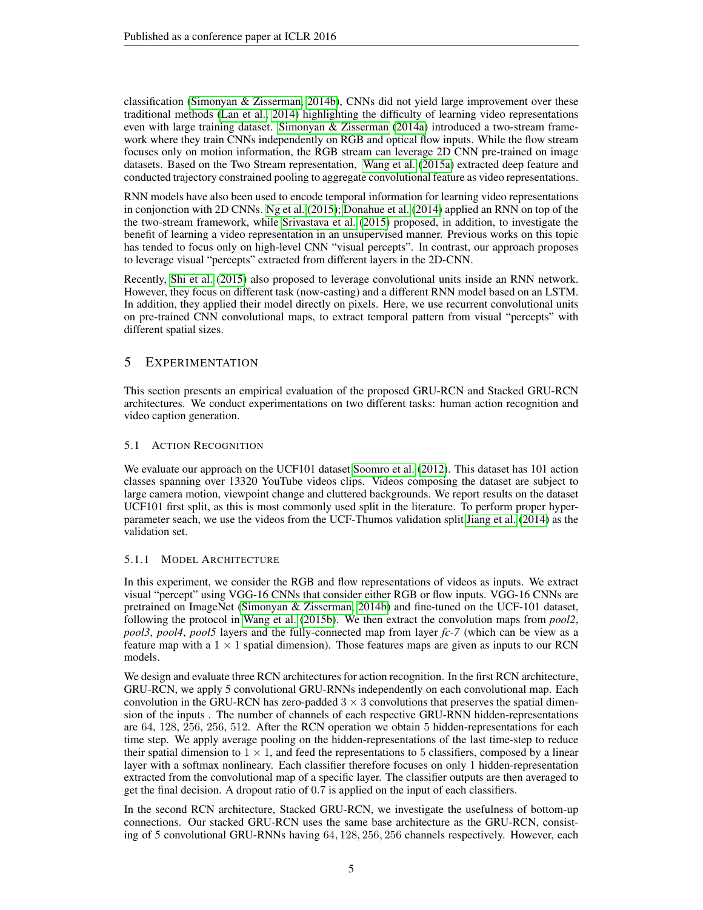classification [\(Simonyan & Zisserman, 2014b\)](#page-9-1), CNNs did not yield large improvement over these traditional methods [\(Lan et al., 2014\)](#page-9-12) highlighting the difficulty of learning video representations even with large training dataset. [Simonyan & Zisserman](#page-9-11) [\(2014a\)](#page-9-11) introduced a two-stream framework where they train CNNs independently on RGB and optical flow inputs. While the flow stream focuses only on motion information, the RGB stream can leverage 2D CNN pre-trained on image datasets. Based on the Two Stream representation, [Wang et al.](#page-10-3) [\(2015a\)](#page-10-3) extracted deep feature and conducted trajectory constrained pooling to aggregate convolutional feature as video representations.

RNN models have also been used to encode temporal information for learning video representations in conjonction with 2D CNNs. [Ng et al.](#page-9-5) [\(2015\)](#page-9-5); [Donahue et al.](#page-9-4) [\(2014\)](#page-9-4) applied an RNN on top of the the two-stream framework, while [Srivastava et al.](#page-9-3) [\(2015\)](#page-9-3) proposed, in addition, to investigate the benefit of learning a video representation in an unsupervised manner. Previous works on this topic has tended to focus only on high-level CNN "visual percepts". In contrast, our approach proposes to leverage visual "percepts" extracted from different layers in the 2D-CNN.

Recently, [Shi et al.](#page-9-13) [\(2015\)](#page-9-13) also proposed to leverage convolutional units inside an RNN network. However, they focus on different task (now-casting) and a different RNN model based on an LSTM. In addition, they applied their model directly on pixels. Here, we use recurrent convolutional units on pre-trained CNN convolutional maps, to extract temporal pattern from visual "percepts" with different spatial sizes.

# 5 EXPERIMENTATION

This section presents an empirical evaluation of the proposed GRU-RCN and Stacked GRU-RCN architectures. We conduct experimentations on two different tasks: human action recognition and video caption generation.

# 5.1 ACTION RECOGNITION

We evaluate our approach on the UCF101 dataset [Soomro et al.](#page-9-7) [\(2012\)](#page-9-7). This dataset has 101 action classes spanning over 13320 YouTube videos clips. Videos composing the dataset are subject to large camera motion, viewpoint change and cluttered backgrounds. We report results on the dataset UCF101 first split, as this is most commonly used split in the literature. To perform proper hyperparameter seach, we use the videos from the UCF-Thumos validation split [Jiang et al.](#page-9-14) [\(2014\)](#page-9-14) as the validation set.

# 5.1.1 MODEL ARCHITECTURE

In this experiment, we consider the RGB and flow representations of videos as inputs. We extract visual "percept" using VGG-16 CNNs that consider either RGB or flow inputs. VGG-16 CNNs are pretrained on ImageNet [\(Simonyan & Zisserman, 2014b\)](#page-9-1) and fine-tuned on the UCF-101 dataset, following the protocol in [Wang et al.](#page-10-2) [\(2015b\)](#page-10-2). We then extract the convolution maps from *pool2*, *pool3*, *pool4*, *pool5* layers and the fully-connected map from layer *fc-7* (which can be view as a feature map with a  $1 \times 1$  spatial dimension). Those features maps are given as inputs to our RCN models.

We design and evaluate three RCN architectures for action recognition. In the first RCN architecture, GRU-RCN, we apply 5 convolutional GRU-RNNs independently on each convolutional map. Each convolution in the GRU-RCN has zero-padded  $3 \times 3$  convolutions that preserves the spatial dimension of the inputs . The number of channels of each respective GRU-RNN hidden-representations are 64, 128, 256, 256, 512. After the RCN operation we obtain 5 hidden-representations for each time step. We apply average pooling on the hidden-representations of the last time-step to reduce their spatial dimension to  $1 \times 1$ , and feed the representations to 5 classifiers, composed by a linear layer with a softmax nonlineary. Each classifier therefore focuses on only 1 hidden-representation extracted from the convolutional map of a specific layer. The classifier outputs are then averaged to get the final decision. A dropout ratio of 0.7 is applied on the input of each classifiers.

In the second RCN architecture, Stacked GRU-RCN, we investigate the usefulness of bottom-up connections. Our stacked GRU-RCN uses the same base architecture as the GRU-RCN, consisting of 5 convolutional GRU-RNNs having 64, 128, 256, 256 channels respectively. However, each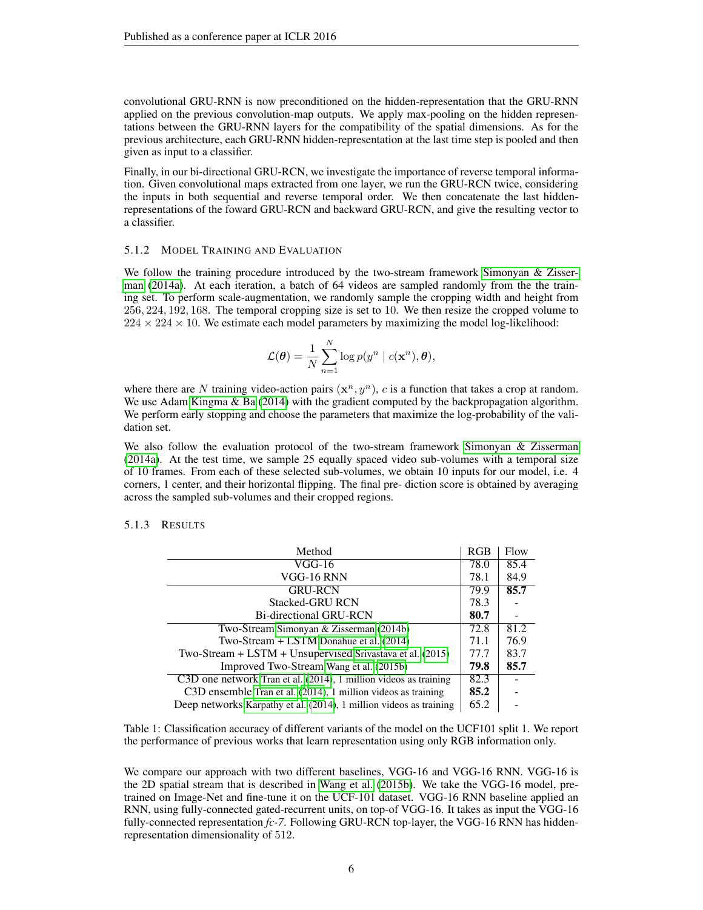convolutional GRU-RNN is now preconditioned on the hidden-representation that the GRU-RNN applied on the previous convolution-map outputs. We apply max-pooling on the hidden representations between the GRU-RNN layers for the compatibility of the spatial dimensions. As for the previous architecture, each GRU-RNN hidden-representation at the last time step is pooled and then given as input to a classifier.

Finally, in our bi-directional GRU-RCN, we investigate the importance of reverse temporal information. Given convolutional maps extracted from one layer, we run the GRU-RCN twice, considering the inputs in both sequential and reverse temporal order. We then concatenate the last hiddenrepresentations of the foward GRU-RCN and backward GRU-RCN, and give the resulting vector to a classifier.

#### 5.1.2 MODEL TRAINING AND EVALUATION

We follow the training procedure introduced by the two-stream framework [Simonyan & Zisser](#page-9-11)[man](#page-9-11) [\(2014a\)](#page-9-11). At each iteration, a batch of 64 videos are sampled randomly from the the training set. To perform scale-augmentation, we randomly sample the cropping width and height from 256, 224, 192, 168. The temporal cropping size is set to 10. We then resize the cropped volume to  $224 \times 224 \times 10$ . We estimate each model parameters by maximizing the model log-likelihood:

$$
\mathcal{L}(\boldsymbol{\theta}) = \frac{1}{N} \sum_{n=1}^{N} \log p(y^n \mid c(\mathbf{x}^n), \boldsymbol{\theta}),
$$

where there are N training video-action pairs  $(x^n, y^n)$ , c is a function that takes a crop at random. We use Adam [Kingma & Ba](#page-9-15) [\(2014\)](#page-9-15) with the gradient computed by the backpropagation algorithm. We perform early stopping and choose the parameters that maximize the log-probability of the validation set.

We also follow the evaluation protocol of the two-stream framework Simonyan  $\&$  Zisserman [\(2014a\)](#page-9-11). At the test time, we sample 25 equally spaced video sub-volumes with a temporal size of 10 frames. From each of these selected sub-volumes, we obtain 10 inputs for our model, i.e. 4 corners, 1 center, and their horizontal flipping. The final pre- diction score is obtained by averaging across the sampled sub-volumes and their cropped regions.

## <span id="page-5-0"></span>5.1.3 RESULTS

| Method                                                              | RGB  | Flow |
|---------------------------------------------------------------------|------|------|
| VGG-16                                                              | 78.0 | 85.4 |
| VGG-16 RNN                                                          | 78.1 | 84.9 |
| <b>GRU-RCN</b>                                                      | 79.9 | 85.7 |
| <b>Stacked-GRU RCN</b>                                              | 78.3 |      |
| <b>Bi-directional GRU-RCN</b>                                       | 80.7 |      |
| Two-Stream Simonyan & Zisserman (2014b)                             | 72.8 | 81.2 |
| Two-Stream + LSTM Donahue et al. (2014)                             | 71.1 | 76.9 |
| Two-Stream $+$ LSTM $+$ Unsupervised Srivastava et al. (2015)       | 77.7 | 83.7 |
| Improved Two-Stream Wang et al. (2015b)                             | 79.8 | 85.7 |
| C3D one network Tran et al. $(2014)$ , 1 million videos as training | 82.3 |      |
| C3D ensemble Tran et al. (2014), 1 million videos as training       | 85.2 |      |
| Deep networks Karpathy et al. (2014), 1 million videos as training  | 65.2 |      |

Table 1: Classification accuracy of different variants of the model on the UCF101 split 1. We report the performance of previous works that learn representation using only RGB information only.

We compare our approach with two different baselines, VGG-16 and VGG-16 RNN. VGG-16 is the 2D spatial stream that is described in [Wang et al.](#page-10-2) [\(2015b\)](#page-10-2). We take the VGG-16 model, pretrained on Image-Net and fine-tune it on the UCF-101 dataset. VGG-16 RNN baseline applied an RNN, using fully-connected gated-recurrent units, on top-of VGG-16. It takes as input the VGG-16 fully-connected representation *fc-7*. Following GRU-RCN top-layer, the VGG-16 RNN has hiddenrepresentation dimensionality of 512.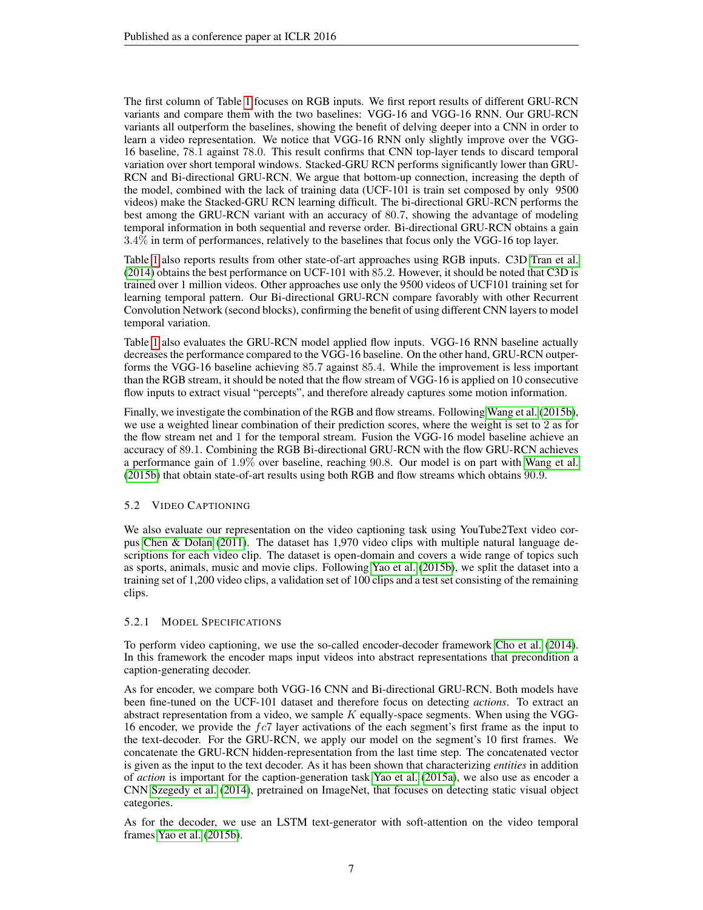The first column of Table [1](#page-5-0) focuses on RGB inputs. We first report results of different GRU-RCN variants and compare them with the two baselines: VGG-16 and VGG-16 RNN. Our GRU-RCN variants all outperform the baselines, showing the benefit of delving deeper into a CNN in order to learn a video representation. We notice that VGG-16 RNN only slightly improve over the VGG-16 baseline, 78.1 against 78.0. This result confirms that CNN top-layer tends to discard temporal variation over short temporal windows. Stacked-GRU RCN performs significantly lower than GRU-RCN and Bi-directional GRU-RCN. We argue that bottom-up connection, increasing the depth of the model, combined with the lack of training data (UCF-101 is train set composed by only 9500 videos) make the Stacked-GRU RCN learning difficult. The bi-directional GRU-RCN performs the best among the GRU-RCN variant with an accuracy of 80.7, showing the advantage of modeling temporal information in both sequential and reverse order. Bi-directional GRU-RCN obtains a gain 3.4% in term of performances, relatively to the baselines that focus only the VGG-16 top layer.

Table [1](#page-5-0) also reports results from other state-of-art approaches using RGB inputs. C3D [Tran et al.](#page-10-1) [\(2014\)](#page-10-1) obtains the best performance on UCF-101 with 85.2. However, it should be noted that C3D is trained over 1 million videos. Other approaches use only the 9500 videos of UCF101 training set for learning temporal pattern. Our Bi-directional GRU-RCN compare favorably with other Recurrent Convolution Network (second blocks), confirming the benefit of using different CNN layers to model temporal variation.

Table [1](#page-5-0) also evaluates the GRU-RCN model applied flow inputs. VGG-16 RNN baseline actually decreases the performance compared to the VGG-16 baseline. On the other hand, GRU-RCN outperforms the VGG-16 baseline achieving 85.7 against 85.4. While the improvement is less important than the RGB stream, it should be noted that the flow stream of VGG-16 is applied on 10 consecutive flow inputs to extract visual "percepts", and therefore already captures some motion information.

Finally, we investigate the combination of the RGB and flow streams. Following [Wang et al.](#page-10-2) [\(2015b\)](#page-10-2), we use a weighted linear combination of their prediction scores, where the weight is set to 2 as for the flow stream net and 1 for the temporal stream. Fusion the VGG-16 model baseline achieve an accuracy of 89.1. Combining the RGB Bi-directional GRU-RCN with the flow GRU-RCN achieves a performance gain of 1.9% over baseline, reaching 90.8. Our model is on part with [Wang et al.](#page-10-2) [\(2015b\)](#page-10-2) that obtain state-of-art results using both RGB and flow streams which obtains 90.9.

# 5.2 VIDEO CAPTIONING

We also evaluate our representation on the video captioning task using YouTube2Text video corpus [Chen & Dolan](#page-8-3) [\(2011\)](#page-8-3). The dataset has 1,970 video clips with multiple natural language descriptions for each video clip. The dataset is open-domain and covers a wide range of topics such as sports, animals, music and movie clips. Following [Yao et al.](#page-10-4) [\(2015b\)](#page-10-4), we split the dataset into a training set of 1,200 video clips, a validation set of 100 clips and a test set consisting of the remaining clips.

## 5.2.1 MODEL SPECIFICATIONS

To perform video captioning, we use the so-called encoder-decoder framework [Cho et al.](#page-8-2) [\(2014\)](#page-8-2). In this framework the encoder maps input videos into abstract representations that precondition a caption-generating decoder.

As for encoder, we compare both VGG-16 CNN and Bi-directional GRU-RCN. Both models have been fine-tuned on the UCF-101 dataset and therefore focus on detecting *actions*. To extract an abstract representation from a video, we sample  $K$  equally-space segments. When using the VGG-16 encoder, we provide the  $fc7$  layer activations of the each segment's first frame as the input to the text-decoder. For the GRU-RCN, we apply our model on the segment's 10 first frames. We concatenate the GRU-RCN hidden-representation from the last time step. The concatenated vector is given as the input to the text decoder. As it has been shown that characterizing *entities* in addition of *action* is important for the caption-generation task [Yao et al.](#page-10-5) [\(2015a\)](#page-10-5), we also use as encoder a CNN [Szegedy et al.](#page-9-16) [\(2014\)](#page-9-16), pretrained on ImageNet, that focuses on detecting static visual object categories.

As for the decoder, we use an LSTM text-generator with soft-attention on the video temporal frames [Yao et al.](#page-10-4) [\(2015b\)](#page-10-4).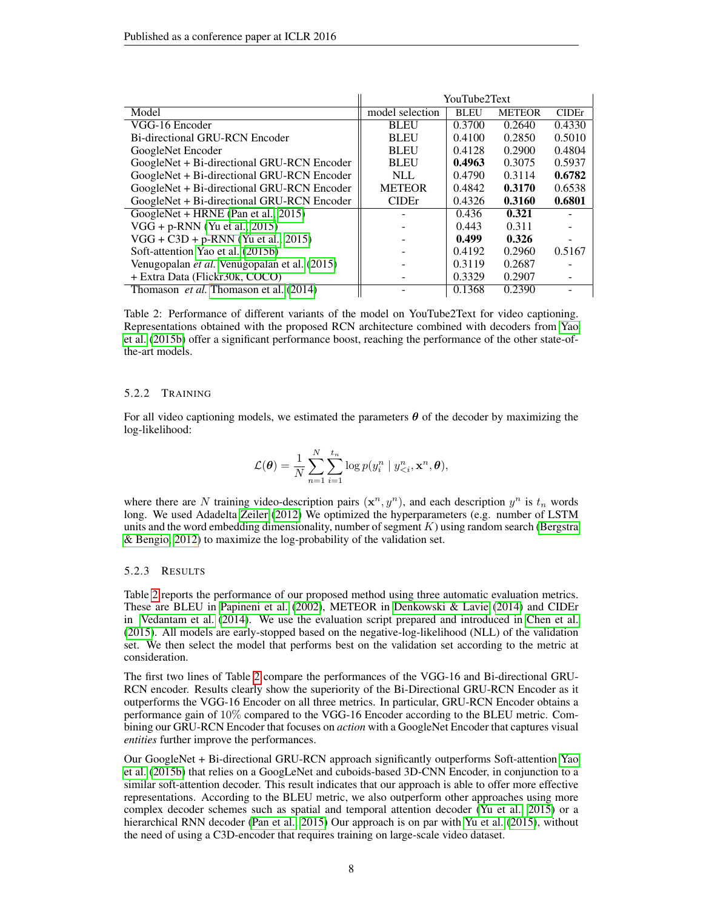<span id="page-7-0"></span>

|                                                     | YouTube2Text             |             |               |               |
|-----------------------------------------------------|--------------------------|-------------|---------------|---------------|
| Model                                               | model selection          | <b>BLEU</b> | <b>METEOR</b> | <b>CIDE</b> r |
| VGG-16 Encoder                                      | <b>BLEU</b>              | 0.3700      | 0.2640        | 0.4330        |
| Bi-directional GRU-RCN Encoder                      | <b>BLEU</b>              | 0.4100      | 0.2850        | 0.5010        |
| GoogleNet Encoder                                   | <b>BLEU</b>              | 0.4128      | 0.2900        | 0.4804        |
| GoogleNet + Bi-directional GRU-RCN Encoder          | <b>BLEU</b>              | 0.4963      | 0.3075        | 0.5937        |
| GoogleNet + Bi-directional GRU-RCN Encoder          | $\mathbf{N}$ LL          | 0.4790      | 0.3114        | 0.6782        |
| GoogleNet + Bi-directional GRU-RCN Encoder          | <b>METEOR</b>            | 0.4842      | 0.3170        | 0.6538        |
| GoogleNet + Bi-directional GRU-RCN Encoder          | <b>CIDE</b> <sup>r</sup> | 0.4326      | 0.3160        | 0.6801        |
| GoogleNet + HRNE (Pan et al., 2015)                 |                          | 0.436       | 0.321         |               |
| $VGG + p-RNN$ (Yu et al., 2015)                     |                          | 0.443       | 0.311         |               |
| $VGG + C3D + p-RNN$ (Yu et al., 2015)               |                          | 0.499       | 0.326         |               |
| Soft-attention Yao et al. (2015b)                   |                          | 0.4192      | 0.2960        | 0.5167        |
| Venugopalan <i>et al.</i> Venugopalan et al. (2015) |                          | 0.3119      | 0.2687        |               |
| + Extra Data (Flickr30k, COCO)                      |                          | 0.3329      | 0.2907        |               |
| Thomason <i>et al.</i> Thomason et al. (2014)       |                          | 0.1368      | 0.2390        |               |

Table 2: Performance of different variants of the model on YouTube2Text for video captioning. Representations obtained with the proposed RCN architecture combined with decoders from [Yao](#page-10-4) [et al.](#page-10-4) [\(2015b\)](#page-10-4) offer a significant performance boost, reaching the performance of the other state-ofthe-art models.

#### 5.2.2 TRAINING

For all video captioning models, we estimated the parameters  $\theta$  of the decoder by maximizing the log-likelihood:

$$
\mathcal{L}(\boldsymbol{\theta}) = \frac{1}{N} \sum_{n=1}^N \sum_{i=1}^{t_n} \log p(y_i^n \mid y_{\leq i}^n, \mathbf{x}^n, \boldsymbol{\theta}),
$$

where there are N training video-description pairs  $(\mathbf{x}^n, y^n)$ , and each description  $y^n$  is  $t_n$  words long. We used Adadelta [Zeiler](#page-10-9) [\(2012\)](#page-10-9) We optimized the hyperparameters (e.g. number of LSTM units and the word embedding dimensionality, number of segment  $K$ ) using random search [\(Bergstra](#page-8-5) [& Bengio, 2012\)](#page-8-5) to maximize the log-probability of the validation set.

#### 5.2.3 RESULTS

Table [2](#page-7-0) reports the performance of our proposed method using three automatic evaluation metrics. These are BLEU in [Papineni et al.](#page-9-18) [\(2002\)](#page-9-18), METEOR in [Denkowski & Lavie](#page-9-19) [\(2014\)](#page-9-19) and CIDEr in [Vedantam et al.](#page-10-10) [\(2014\)](#page-10-10). We use the evaluation script prepared and introduced in [Chen et al.](#page-8-6) [\(2015\)](#page-8-6). All models are early-stopped based on the negative-log-likelihood (NLL) of the validation set. We then select the model that performs best on the validation set according to the metric at consideration.

The first two lines of Table [2](#page-7-0) compare the performances of the VGG-16 and Bi-directional GRU-RCN encoder. Results clearly show the superiority of the Bi-Directional GRU-RCN Encoder as it outperforms the VGG-16 Encoder on all three metrics. In particular, GRU-RCN Encoder obtains a performance gain of 10% compared to the VGG-16 Encoder according to the BLEU metric. Combining our GRU-RCN Encoder that focuses on *action* with a GoogleNet Encoder that captures visual *entities* further improve the performances.

Our GoogleNet + Bi-directional GRU-RCN approach significantly outperforms Soft-attention [Yao](#page-10-4) [et al.](#page-10-4) [\(2015b\)](#page-10-4) that relies on a GoogLeNet and cuboids-based 3D-CNN Encoder, in conjunction to a similar soft-attention decoder. This result indicates that our approach is able to offer more effective representations. According to the BLEU metric, we also outperform other approaches using more complex decoder schemes such as spatial and temporal attention decoder [\(Yu et al., 2015\)](#page-10-6) or a hierarchical RNN decoder [\(Pan et al., 2015\)](#page-9-17) Our approach is on par with [Yu et al.](#page-10-6) [\(2015\)](#page-10-6), without the need of using a C3D-encoder that requires training on large-scale video dataset.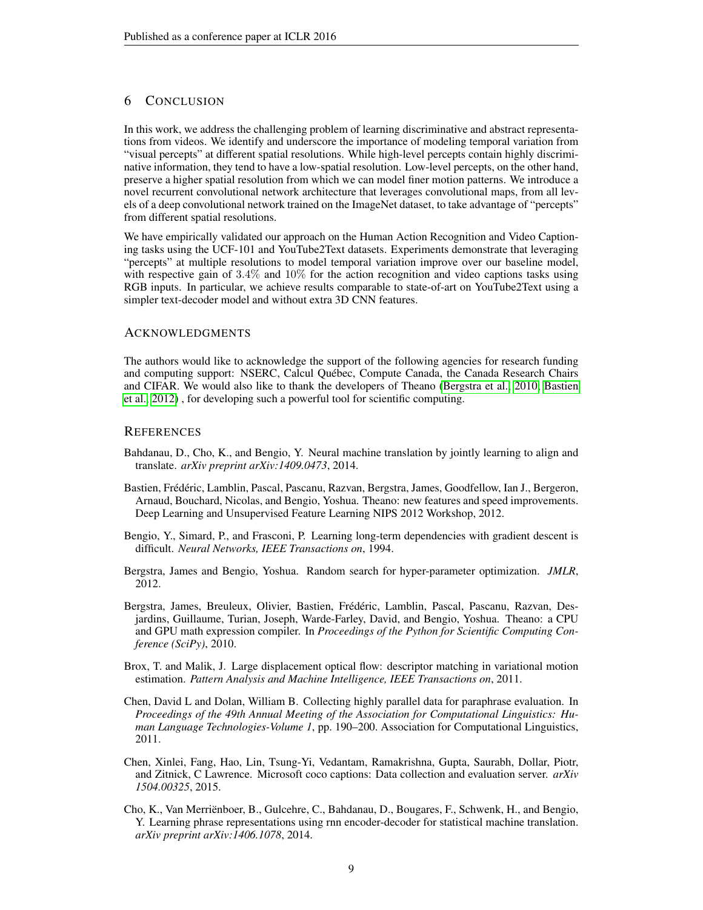# 6 CONCLUSION

In this work, we address the challenging problem of learning discriminative and abstract representations from videos. We identify and underscore the importance of modeling temporal variation from "visual percepts" at different spatial resolutions. While high-level percepts contain highly discriminative information, they tend to have a low-spatial resolution. Low-level percepts, on the other hand, preserve a higher spatial resolution from which we can model finer motion patterns. We introduce a novel recurrent convolutional network architecture that leverages convolutional maps, from all levels of a deep convolutional network trained on the ImageNet dataset, to take advantage of "percepts" from different spatial resolutions.

We have empirically validated our approach on the Human Action Recognition and Video Captioning tasks using the UCF-101 and YouTube2Text datasets. Experiments demonstrate that leveraging "percepts" at multiple resolutions to model temporal variation improve over our baseline model, with respective gain of  $3.4\%$  and  $10\%$  for the action recognition and video captions tasks using RGB inputs. In particular, we achieve results comparable to state-of-art on YouTube2Text using a simpler text-decoder model and without extra 3D CNN features.

#### ACKNOWLEDGMENTS

The authors would like to acknowledge the support of the following agencies for research funding and computing support: NSERC, Calcul Québec, Compute Canada, the Canada Research Chairs and CIFAR. We would also like to thank the developers of Theano [\(Bergstra et al., 2010;](#page-8-7) [Bastien](#page-8-8) [et al., 2012\)](#page-8-8) , for developing such a powerful tool for scientific computing.

## **REFERENCES**

- <span id="page-8-0"></span>Bahdanau, D., Cho, K., and Bengio, Y. Neural machine translation by jointly learning to align and translate. *arXiv preprint arXiv:1409.0473*, 2014.
- <span id="page-8-8"></span>Bastien, Frédéric, Lamblin, Pascal, Pascanu, Razvan, Bergstra, James, Goodfellow, Ian J., Bergeron, Arnaud, Bouchard, Nicolas, and Bengio, Yoshua. Theano: new features and speed improvements. Deep Learning and Unsupervised Feature Learning NIPS 2012 Workshop, 2012.
- <span id="page-8-4"></span>Bengio, Y., Simard, P., and Frasconi, P. Learning long-term dependencies with gradient descent is difficult. *Neural Networks, IEEE Transactions on*, 1994.
- <span id="page-8-5"></span>Bergstra, James and Bengio, Yoshua. Random search for hyper-parameter optimization. *JMLR*, 2012.
- <span id="page-8-7"></span>Bergstra, James, Breuleux, Olivier, Bastien, Frédéric, Lamblin, Pascal, Pascanu, Razvan, Desjardins, Guillaume, Turian, Joseph, Warde-Farley, David, and Bengio, Yoshua. Theano: a CPU and GPU math expression compiler. In *Proceedings of the Python for Scientific Computing Conference (SciPy)*, 2010.
- <span id="page-8-1"></span>Brox, T. and Malik, J. Large displacement optical flow: descriptor matching in variational motion estimation. *Pattern Analysis and Machine Intelligence, IEEE Transactions on*, 2011.
- <span id="page-8-3"></span>Chen, David L and Dolan, William B. Collecting highly parallel data for paraphrase evaluation. In *Proceedings of the 49th Annual Meeting of the Association for Computational Linguistics: Human Language Technologies-Volume 1*, pp. 190–200. Association for Computational Linguistics, 2011.
- <span id="page-8-6"></span>Chen, Xinlei, Fang, Hao, Lin, Tsung-Yi, Vedantam, Ramakrishna, Gupta, Saurabh, Dollar, Piotr, and Zitnick, C Lawrence. Microsoft coco captions: Data collection and evaluation server. *arXiv 1504.00325*, 2015.
- <span id="page-8-2"></span>Cho, K., Van Merrienboer, B., Gulcehre, C., Bahdanau, D., Bougares, F., Schwenk, H., and Bengio, ¨ Y. Learning phrase representations using rnn encoder-decoder for statistical machine translation. *arXiv preprint arXiv:1406.1078*, 2014.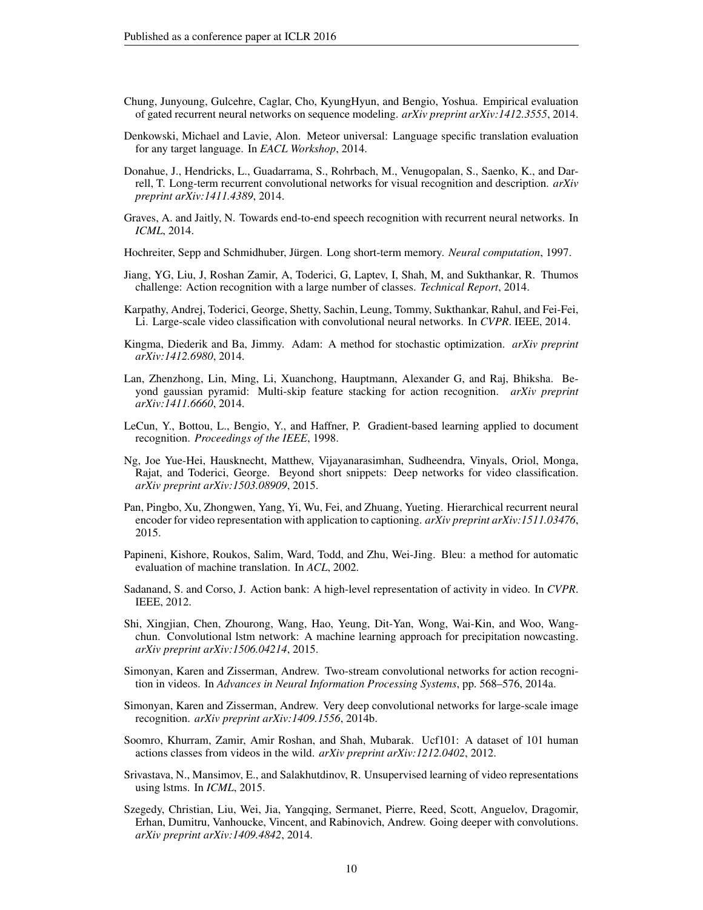- <span id="page-9-9"></span>Chung, Junyoung, Gulcehre, Caglar, Cho, KyungHyun, and Bengio, Yoshua. Empirical evaluation of gated recurrent neural networks on sequence modeling. *arXiv preprint arXiv:1412.3555*, 2014.
- <span id="page-9-19"></span>Denkowski, Michael and Lavie, Alon. Meteor universal: Language specific translation evaluation for any target language. In *EACL Workshop*, 2014.
- <span id="page-9-4"></span>Donahue, J., Hendricks, L., Guadarrama, S., Rohrbach, M., Venugopalan, S., Saenko, K., and Darrell, T. Long-term recurrent convolutional networks for visual recognition and description. *arXiv preprint arXiv:1411.4389*, 2014.
- <span id="page-9-2"></span>Graves, A. and Jaitly, N. Towards end-to-end speech recognition with recurrent neural networks. In *ICML*, 2014.
- <span id="page-9-8"></span>Hochreiter, Sepp and Schmidhuber, Jürgen. Long short-term memory. *Neural computation*, 1997.
- <span id="page-9-14"></span>Jiang, YG, Liu, J, Roshan Zamir, A, Toderici, G, Laptev, I, Shah, M, and Sukthankar, R. Thumos challenge: Action recognition with a large number of classes. *Technical Report*, 2014.
- <span id="page-9-10"></span>Karpathy, Andrej, Toderici, George, Shetty, Sachin, Leung, Tommy, Sukthankar, Rahul, and Fei-Fei, Li. Large-scale video classification with convolutional neural networks. In *CVPR*. IEEE, 2014.
- <span id="page-9-15"></span>Kingma, Diederik and Ba, Jimmy. Adam: A method for stochastic optimization. *arXiv preprint arXiv:1412.6980*, 2014.
- <span id="page-9-12"></span>Lan, Zhenzhong, Lin, Ming, Li, Xuanchong, Hauptmann, Alexander G, and Raj, Bhiksha. Beyond gaussian pyramid: Multi-skip feature stacking for action recognition. *arXiv preprint arXiv:1411.6660*, 2014.
- <span id="page-9-6"></span>LeCun, Y., Bottou, L., Bengio, Y., and Haffner, P. Gradient-based learning applied to document recognition. *Proceedings of the IEEE*, 1998.
- <span id="page-9-5"></span>Ng, Joe Yue-Hei, Hausknecht, Matthew, Vijayanarasimhan, Sudheendra, Vinyals, Oriol, Monga, Rajat, and Toderici, George. Beyond short snippets: Deep networks for video classification. *arXiv preprint arXiv:1503.08909*, 2015.
- <span id="page-9-17"></span>Pan, Pingbo, Xu, Zhongwen, Yang, Yi, Wu, Fei, and Zhuang, Yueting. Hierarchical recurrent neural encoder for video representation with application to captioning. *arXiv preprint arXiv:1511.03476*, 2015.
- <span id="page-9-18"></span>Papineni, Kishore, Roukos, Salim, Ward, Todd, and Zhu, Wei-Jing. Bleu: a method for automatic evaluation of machine translation. In *ACL*, 2002.
- <span id="page-9-0"></span>Sadanand, S. and Corso, J. Action bank: A high-level representation of activity in video. In *CVPR*. IEEE, 2012.
- <span id="page-9-13"></span>Shi, Xingjian, Chen, Zhourong, Wang, Hao, Yeung, Dit-Yan, Wong, Wai-Kin, and Woo, Wangchun. Convolutional lstm network: A machine learning approach for precipitation nowcasting. *arXiv preprint arXiv:1506.04214*, 2015.
- <span id="page-9-11"></span>Simonyan, Karen and Zisserman, Andrew. Two-stream convolutional networks for action recognition in videos. In *Advances in Neural Information Processing Systems*, pp. 568–576, 2014a.
- <span id="page-9-1"></span>Simonyan, Karen and Zisserman, Andrew. Very deep convolutional networks for large-scale image recognition. *arXiv preprint arXiv:1409.1556*, 2014b.
- <span id="page-9-7"></span>Soomro, Khurram, Zamir, Amir Roshan, and Shah, Mubarak. Ucf101: A dataset of 101 human actions classes from videos in the wild. *arXiv preprint arXiv:1212.0402*, 2012.
- <span id="page-9-3"></span>Srivastava, N., Mansimov, E., and Salakhutdinov, R. Unsupervised learning of video representations using lstms. In *ICML*, 2015.
- <span id="page-9-16"></span>Szegedy, Christian, Liu, Wei, Jia, Yangqing, Sermanet, Pierre, Reed, Scott, Anguelov, Dragomir, Erhan, Dumitru, Vanhoucke, Vincent, and Rabinovich, Andrew. Going deeper with convolutions. *arXiv preprint arXiv:1409.4842*, 2014.